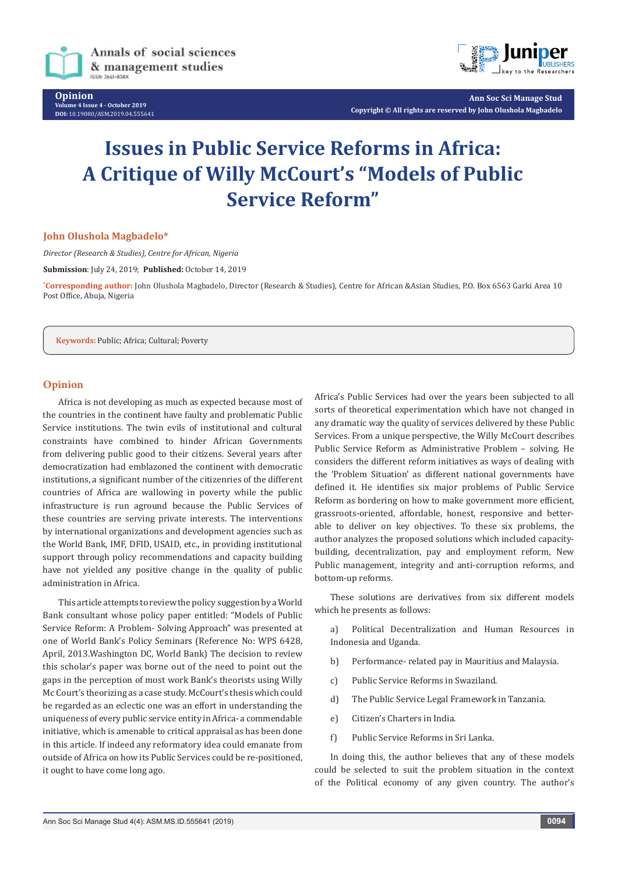

**Opinion Volume 4 Issue 4 - October 2019 DOI:** [10.19080/ASM.2019.04.555641](http://dx.doi.org/10.19080/ASM.2019.04.555641)



**Ann Soc Sci Manage Stud Copyright © All rights are reserved by John Olushola Magbadelo**

# **Issues in Public Service Reforms in Africa: A Critique of Willy McCourt's "Models of Public Service Reform"**

## **John Olushola Magbadelo\***

*Director (Research & Studies), Centre for African, Nigeria*

**Submission**: July 24, 2019; **Published:** October 14, 2019

**\* Corresponding author:** John Olushola Magbadelo, Director (Research & Studies), Centre for African &Asian Studies, P.O. Box 6563 Garki Area 10 Post Office, Abuja, Nigeria

**Keywords:** Public; Africa; Cultural; Poverty

## **Opinion**

Africa is not developing as much as expected because most of the countries in the continent have faulty and problematic Public Service institutions. The twin evils of institutional and cultural constraints have combined to hinder African Governments from delivering public good to their citizens. Several years after democratization had emblazoned the continent with democratic institutions, a significant number of the citizenries of the different countries of Africa are wallowing in poverty while the public infrastructure is run aground because the Public Services of these countries are serving private interests. The interventions by international organizations and development agencies such as the World Bank, IMF, DFID, USAID, etc., in providing institutional support through policy recommendations and capacity building have not yielded any positive change in the quality of public administration in Africa.

This article attempts to review the policy suggestion by a World Bank consultant whose policy paper entitled: "Models of Public Service Reform: A Problem- Solving Approach" was presented at one of World Bank's Policy Seminars (Reference No: WPS 6428, April, 2013.Washington DC, World Bank) The decision to review this scholar's paper was borne out of the need to point out the gaps in the perception of most work Bank's theorists using Willy Mc Court's theorizing as a case study. McCourt's thesis which could be regarded as an eclectic one was an effort in understanding the uniqueness of every public service entity in Africa- a commendable initiative, which is amenable to critical appraisal as has been done in this article. If indeed any reformatory idea could emanate from outside of Africa on how its Public Services could be re-positioned, it ought to have come long ago.

Africa's Public Services had over the years been subjected to all sorts of theoretical experimentation which have not changed in any dramatic way the quality of services delivered by these Public Services. From a unique perspective, the Willy McCourt describes Public Service Reform as Administrative Problem – solving. He considers the different reform initiatives as ways of dealing with the 'Problem Situation' as different national governments have defined it. He identifies six major problems of Public Service Reform as bordering on how to make government more efficient, grassroots-oriented, affordable, honest, responsive and betterable to deliver on key objectives. To these six problems, the author analyzes the proposed solutions which included capacitybuilding, decentralization, pay and employment reform, New Public management, integrity and anti-corruption reforms, and bottom-up reforms.

These solutions are derivatives from six different models which he presents as follows:

a) Political Decentralization and Human Resources in Indonesia and Uganda.

- b) Performance- related pay in Mauritius and Malaysia.
- c) Public Service Reforms in Swaziland.
- d) The Public Service Legal Framework in Tanzania.
- e) Citizen's Charters in India.
- f) Public Service Reforms in Sri Lanka.

In doing this, the author believes that any of these models could be selected to suit the problem situation in the context of the Political economy of any given country. The author's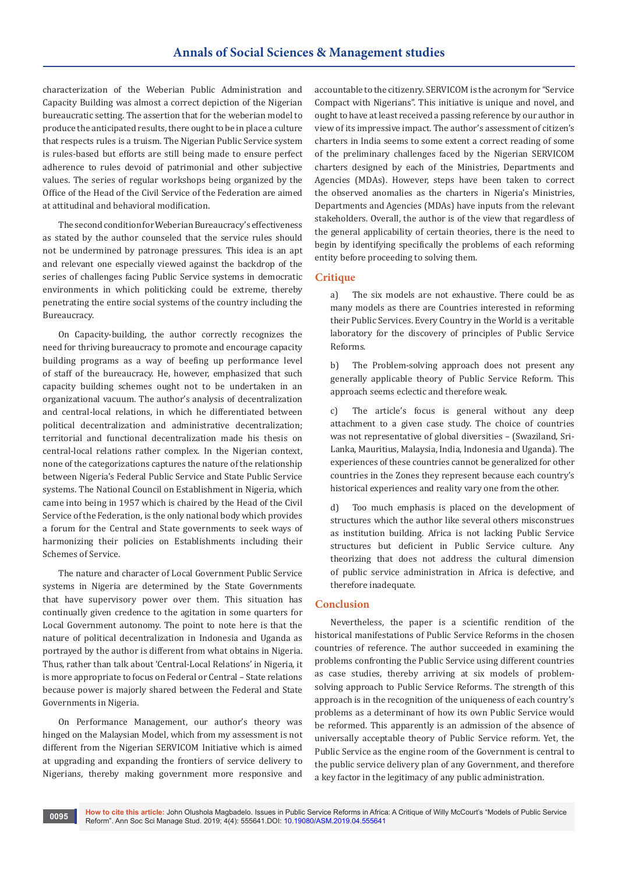characterization of the Weberian Public Administration and Capacity Building was almost a correct depiction of the Nigerian bureaucratic setting. The assertion that for the weberian model to produce the anticipated results, there ought to be in place a culture that respects rules is a truism. The Nigerian Public Service system is rules-based but efforts are still being made to ensure perfect adherence to rules devoid of patrimonial and other subjective values. The series of regular workshops being organized by the Office of the Head of the Civil Service of the Federation are aimed at attitudinal and behavioral modification.

The second condition for Weberian Bureaucracy's effectiveness as stated by the author counseled that the service rules should not be undermined by patronage pressures. This idea is an apt and relevant one especially viewed against the backdrop of the series of challenges facing Public Service systems in democratic environments in which politicking could be extreme, thereby penetrating the entire social systems of the country including the Bureaucracy.

On Capacity-building, the author correctly recognizes the need for thriving bureaucracy to promote and encourage capacity building programs as a way of beefing up performance level of staff of the bureaucracy. He, however, emphasized that such capacity building schemes ought not to be undertaken in an organizational vacuum. The author's analysis of decentralization and central-local relations, in which he differentiated between political decentralization and administrative decentralization; territorial and functional decentralization made his thesis on central-local relations rather complex. In the Nigerian context, none of the categorizations captures the nature of the relationship between Nigeria's Federal Public Service and State Public Service systems. The National Council on Establishment in Nigeria, which came into being in 1957 which is chaired by the Head of the Civil Service of the Federation, is the only national body which provides a forum for the Central and State governments to seek ways of harmonizing their policies on Establishments including their Schemes of Service.

The nature and character of Local Government Public Service systems in Nigeria are determined by the State Governments that have supervisory power over them. This situation has continually given credence to the agitation in some quarters for Local Government autonomy. The point to note here is that the nature of political decentralization in Indonesia and Uganda as portrayed by the author is different from what obtains in Nigeria. Thus, rather than talk about 'Central-Local Relations' in Nigeria, it is more appropriate to focus on Federal or Central – State relations because power is majorly shared between the Federal and State Governments in Nigeria.

On Performance Management, our author's theory was hinged on the Malaysian Model, which from my assessment is not different from the Nigerian SERVICOM Initiative which is aimed at upgrading and expanding the frontiers of service delivery to Nigerians, thereby making government more responsive and accountable to the citizenry. SERVICOM is the acronym for "Service Compact with Nigerians". This initiative is unique and novel, and ought to have at least received a passing reference by our author in view of its impressive impact. The author's assessment of citizen's charters in India seems to some extent a correct reading of some of the preliminary challenges faced by the Nigerian SERVICOM charters designed by each of the Ministries, Departments and Agencies (MDAs). However, steps have been taken to correct the observed anomalies as the charters in Nigeria's Ministries, Departments and Agencies (MDAs) have inputs from the relevant stakeholders. Overall, the author is of the view that regardless of the general applicability of certain theories, there is the need to begin by identifying specifically the problems of each reforming entity before proceeding to solving them.

## **Critique**

a) The six models are not exhaustive. There could be as many models as there are Countries interested in reforming their Public Services. Every Country in the World is a veritable laboratory for the discovery of principles of Public Service Reforms.

b) The Problem-solving approach does not present any generally applicable theory of Public Service Reform. This approach seems eclectic and therefore weak.

c) The article's focus is general without any deep attachment to a given case study. The choice of countries was not representative of global diversities – (Swaziland, Sri-Lanka, Mauritius, Malaysia, India, Indonesia and Uganda). The experiences of these countries cannot be generalized for other countries in the Zones they represent because each country's historical experiences and reality vary one from the other.

d) Too much emphasis is placed on the development of structures which the author like several others misconstrues as institution building. Africa is not lacking Public Service structures but deficient in Public Service culture. Any theorizing that does not address the cultural dimension of public service administration in Africa is defective, and therefore inadequate.

## **Conclusion**

Nevertheless, the paper is a scientific rendition of the historical manifestations of Public Service Reforms in the chosen countries of reference. The author succeeded in examining the problems confronting the Public Service using different countries as case studies, thereby arriving at six models of problemsolving approach to Public Service Reforms. The strength of this approach is in the recognition of the uniqueness of each country's problems as a determinant of how its own Public Service would be reformed. This apparently is an admission of the absence of universally acceptable theory of Public Service reform. Yet, the Public Service as the engine room of the Government is central to the public service delivery plan of any Government, and therefore a key factor in the legitimacy of any public administration.